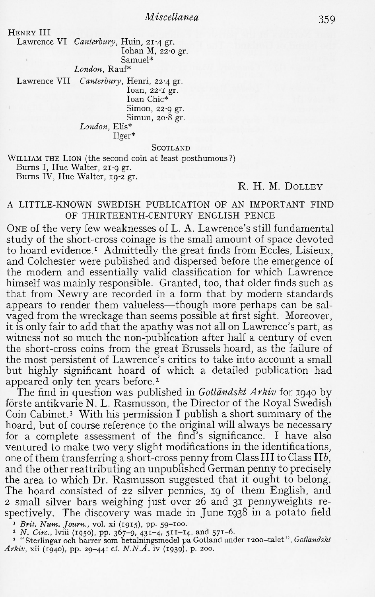HENRY III Lawrence VI *Canterbury*, Huin, 21.4 gr. Iohan M, 22-0 gr. Samuel\* *London,* Rauf\* Lawrence VII *Canterbury*, Henri, 22.4 gr.

Ioan,  $22 \cdot I$  gr. loan Chic\* Simon, 22-9 gr. Simun, 20-8 gr.

*London,* Elis\* Ilger\*

#### **SCOTLAND**

WILLIAM THE LION (the second coin at least posthumous ?) Burns I, Hue Walter,  $2I \cdot 9$  gr. Burns IV, Hue Walter, 19-2 gr.

## R. H. M. DOLLEY

# A LITTLE-KNOWN SWEDISH PUBLICATION OF AN IMPORTANT FIND

OF THIRTEENTH-CENTURY ENGLISH PENCE<br>ONE of the very few weaknesses of L. A. Lawrence's still fundamental<br>study of the short-cross coinage is the small amount of space devoted study of the short-cross comage is the small amount of space devoted<br>to hoard evidence.<sup>1</sup> Admittedly the great finds from Eccles, Lisieux, and Colchester were published and dispersed before the emergence of the modern and essentially valid classification for which Lawrence himself was mainly responsible. Granted, too, that older finds such as that from Newry appears to render them valueless—though more perhaps can be sal-<br>vaged from the wreckage than seems possible at first sight. Moreover, it is only fair to add that the apathy was not all on Lawrence's part, as<br>witness not so much the non-publication after half a century of even<br>the short-cross coins from the great Brussels hoard, as the failure of<br>the most appeared only ten years before.<sup>2</sup>

The find in question was published in *Gotländskt Arkiv* for 1940 by förste antikvarie N. L. Rasmusson, the Director of the Royal Swedish Coin Cabinet.<sup>3</sup> With his permission I publish a short summary of the With his permission I publish a short summary of the hoard, but of course reference to the original will always be necessary for a complete assessment of the find's significance. I have also for a complete assessment of the find's significance. I have also ventured to make two very slight modifications in the identifications, one of them transferring a short-cross penny from Class III to Class 116, and the other reattributing an unpublished German penny to precisely<br>the area to which Dr. Rasmusson suggested that it ought to belong.<br>The hoard consisted of 22 silver pennies, 19 of them English, and<br>2 small silver bars spectively. The discovery was made in June 1938 in a potato field

*1 Brit. Num. Journ.,* vol. xi (1915), pp. 59-100.

*<sup>2</sup> N. Circ.,* Iviii (1950), pp. 367-9, 431-4, 511-14, and 571-6.

<sup>3</sup> " Sterlingar och barrer som betalningsmedel pa Gotland under 1200-talet", *Gotlandskt Arkiv,* xii (1940), pp. 29-44: cf. *N.N.A.* iv (1939), p. 200.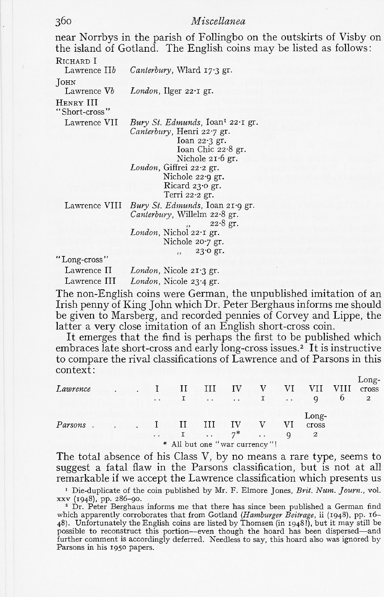#### <sup>360</sup>*Miscellanea*

near Norrbys in the parish of Follingbo on the outskirts of Visby on the island of Gotland. The English coins may be listed as follows:

RICHARD I

Lawrence *lib Canterbury,* Wlard 17-3 gr.

JOHN

Lawrence *Vb London,* Ilger 22-1 gr.

HENRY III

"Short-cross" Lawrence VII

Bury St. Edmunds, Ioan<sup>1</sup> 22.1 gr. *Canterbury,* Henri 22-7 gr. loan 22-3 gr. loan Chic 22-8 gr. Nichole 21-6 gr. *London,* Giffrei 22-2 gr. Nichole 22-9 gr. Ricard 23-0 gr. Terri 22 $\cdot$ 2 gr. *Bury St. Edmunds,* loan 21-9 gr.

Lawrence VIII *Canterbury,* Willelm 22-8 gr.

 $22.8$  gr.

*London,* Nichol 22-1 gr. Nichole 20.7 gr. 23-0 gr.

"Long-cross"

Lawrence II Lawrence III *London,* Nicole 21-3 gr.

Lawrence III London, Nicole 23.4 gr.<br>The non-English coins were German, the unpublished imitation of an<br>Irish penny of King John which Dr. Peter Berghaus informs me should<br>be given to Marsberg, and recorded pennies of Corv

It emerges that the find is perhaps the first to be published which embraces late short-cross and early long-cross issues.<sup>2</sup> It is instructive to compare the rival classifications of Lawrence and of Parsons in this context:

 $L_{\alpha}$ 

| Lawrence              |  | $\ddot{\phantom{0}}$ | $\mathbf{I}$ | I II III IV V VI              | $\mathbf{I}$ . The set of $\mathbf{I}$ and $\mathbf{I}$ and $\mathbf{I}$ and $\mathbf{I}$ and $\mathbf{I}$ and $\mathbf{I}$ and $\mathbf{I}$ and $\mathbf{I}$ and $\mathbf{I}$ and $\mathbf{I}$ and $\mathbf{I}$ and $\mathbf{I}$ and $\mathbf{I}$ and $\mathbf{I}$ and $\mathbf{I}$ and $\mathbf$ |                | VII.                           | 6 | $-0.15$<br>cross<br>$\overline{\mathbf{2}}$ |
|-----------------------|--|----------------------|--------------|-------------------------------|----------------------------------------------------------------------------------------------------------------------------------------------------------------------------------------------------------------------------------------------------------------------------------------------------|----------------|--------------------------------|---|---------------------------------------------|
| Parsons I II III IV V |  |                      |              | $\cdots$ I $\cdots$ $7^*$ .   |                                                                                                                                                                                                                                                                                                    | VI<br>$\alpha$ | Long-<br>cross<br>$\mathbf{2}$ |   |                                             |
|                       |  |                      |              | * All but one "war currency"! |                                                                                                                                                                                                                                                                                                    |                |                                |   |                                             |

The total absence of his Class V, by no means a rare type, seems to suggest a fatal flaw in the Parsons classification, but is not at all remarkable if we accept the Lawrence classification which presents us

1 Die-duplicate of the coin published by Mr. F. Elmore Jones, *Brit. Num. Journ.,* vol. xxv (1948), pp. 286-90.

<sup>2</sup> Dr. Peter Berghaus informs me that there has since been published a German find which apparently corroborates that from Gotland (*Hamburger Beitrage,* ii (1948), pp. 16- 48). Unfortunately the English coins are listed by Thomsen (in 1948!), but it may still be possible to reconstruct this portion—even though the hoard has been dispersed—and further comment is accordingly deferred. Needless to say, this hoard also was ignored by Parsons in his 1950 papers.